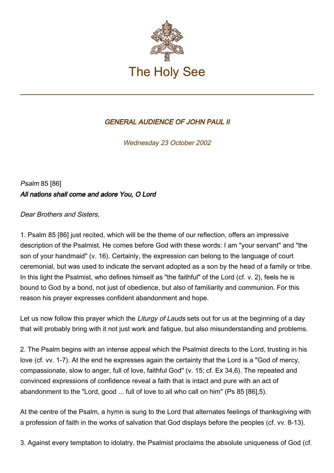

## GENERAL AUDIENCE OF JOHN PAUL II

Wednesday 23 October 2002

Psalm 85 [86] All nations shall come and adore You, O Lord

Dear Brothers and Sisters,

1. Psalm 85 [86] just recited, which will be the theme of our reflection, offers an impressive description of the Psalmist. He comes before God with these words: I am "your servant" and "the son of your handmaid" (v. 16). Certainly, the expression can belong to the language of court ceremonial, but was used to indicate the servant adopted as a son by the head of a family or tribe. In this light the Psalmist, who defines himself as "the faithful" of the Lord (cf. v. 2), feels he is bound to God by a bond, not just of obedience, but also of familiarity and communion. For this reason his prayer expresses confident abandonment and hope.

Let us now follow this prayer which the Liturgy of Lauds sets out for us at the beginning of a day that will probably bring with it not just work and fatigue, but also misunderstanding and problems.

2. The Psalm begins with an intense appeal which the Psalmist directs to the Lord, trusting in his love (cf. vv. 1-7). At the end he expresses again the certainty that the Lord is a "God of mercy, compassionate, slow to anger, full of love, faithful God" (v. 15; cf. Ex 34,6). The repeated and convinced expressions of confidence reveal a faith that is intact and pure with an act of abandonment to the "Lord, good ... full of love to all who call on him" (Ps 85 [86],5).

At the centre of the Psalm, a hymn is sung to the Lord that alternates feelings of thanksgiving with a profession of faith in the works of salvation that God displays before the peoples (cf. vv. 8-13).

3. Against every temptation to idolatry, the Psalmist proclaims the absolute uniqueness of God (cf.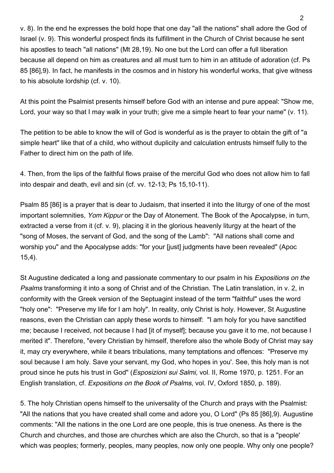v. 8). In the end he expresses the bold hope that one day "all the nations" shall adore the God of Israel (v. 9). This wonderful prospect finds its fulfillment in the Church of Christ because he sent his apostles to teach "all nations" (Mt 28,19). No one but the Lord can offer a full liberation because all depend on him as creatures and all must turn to him in an attitude of adoration (cf. Ps 85 [86],9). In fact, he manifests in the cosmos and in history his wonderful works, that give witness to his absolute lordship (cf. v. 10).

At this point the Psalmist presents himself before God with an intense and pure appeal: "Show me, Lord, your way so that I may walk in your truth; give me a simple heart to fear your name" (v. 11).

The petition to be able to know the will of God is wonderful as is the prayer to obtain the gift of "a simple heart" like that of a child, who without duplicity and calculation entrusts himself fully to the Father to direct him on the path of life.

4. Then, from the lips of the faithful flows praise of the merciful God who does not allow him to fall into despair and death, evil and sin (cf. vv. 12-13; Ps 15,10-11).

Psalm 85 [86] is a prayer that is dear to Judaism, that inserted it into the liturgy of one of the most important solemnities, Yom Kippur or the Day of Atonement. The Book of the Apocalypse, in turn, extracted a verse from it (cf. v. 9), placing it in the glorious heavenly liturgy at the heart of the "song of Moses, the servant of God, and the song of the Lamb": "All nations shall come and worship you" and the Apocalypse adds: "for your [just] judgments have been revealed" (Apoc 15,4).

St Augustine dedicated a long and passionate commentary to our psalm in his Expositions on the Psalms transforming it into a song of Christ and of the Christian. The Latin translation, in v. 2, in conformity with the Greek version of the Septuagint instead of the term "faithful" uses the word "holy one": "Preserve my life for I am holy". In reality, only Christ is holy. However, St Augustine reasons, even the Christian can apply these words to himself: "I am holy for you have sanctified me; because I received, not because I had [it of myself]; because you gave it to me, not because I merited it". Therefore, "every Christian by himself, therefore also the whole Body of Christ may say it, may cry everywhere, while it bears tribulations, many temptations and offences: "Preserve my soul because I am holy. Save your servant, my God, who hopes in you'. See, this holy man is not proud since he puts his trust in God" (Esposizioni sui Salmi, vol. II, Rome 1970, p. 1251. For an English translation, cf. Expositions on the Book of Psalms, vol. IV, Oxford 1850, p. 189).

5. The holy Christian opens himself to the universality of the Church and prays with the Psalmist: "All the nations that you have created shall come and adore you, O Lord" (Ps 85 [86],9). Augustine comments: "All the nations in the one Lord are one people, this is true oneness. As there is the Church and churches, and those are churches which are also the Church, so that is a "people' which was peoples; formerly, peoples, many peoples, now only one people. Why only one people?